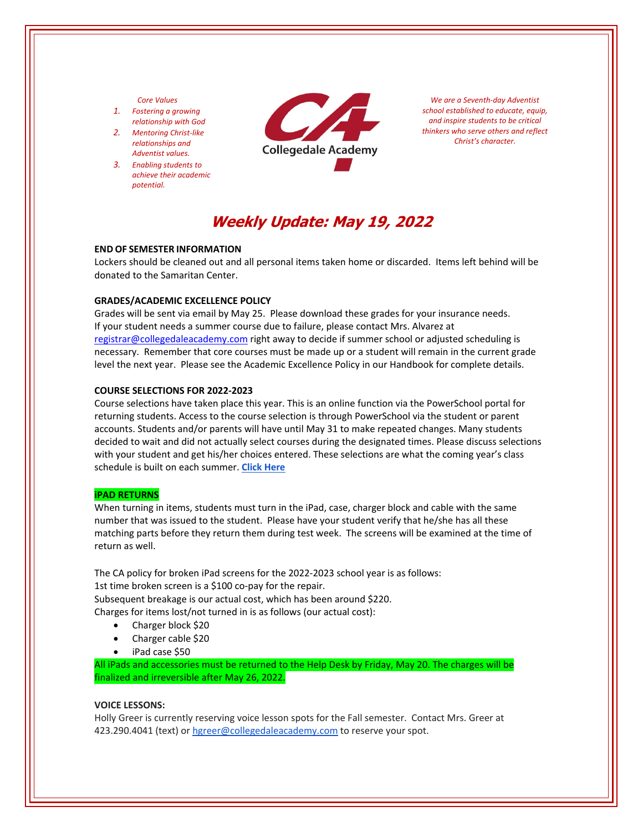## *Core Values*

- *1. Fostering a growing relationship with God*
- *2. Mentoring Christ‐like relationships and Adventist values.*
- *3. Enabling students to achieve their academic potential.*



*We are a Seventh‐day Adventist school established to educate, equip, and inspire students to be critical thinkers who serve others and reflect Christ's character.*

# **Weekly Update: May 19, 2022**

#### **END OF SEMESTER INFORMATION**

Lockers should be cleaned out and all personal items taken home or discarded. Items left behind will be donated to the Samaritan Center.

# **GRADES/ACADEMIC EXCELLENCE POLICY**

Grades will be sent via email by May 25. Please download these grades for your insurance needs. If your student needs a summer course due to failure, please contact Mrs. Alvarez at registrar@collegedaleacademy.com right away to decide if summer school or adjusted scheduling is necessary. Remember that core courses must be made up or a student will remain in the current grade level the next year. Please see the Academic Excellence Policy in our Handbook for complete details.

#### **COURSE SELECTIONS FOR 2022‐2023**

Course selections have taken place this year. This is an online function via the PowerSchool portal for returning students. Access to the course selection is through PowerSchool via the student or parent accounts. Students and/or parents will have until May 31 to make repeated changes. Many students decided to wait and did not actually select courses during the designated times. Please discuss selections with your student and get his/her choices entered. These selections are what the coming year's class schedule is built on each summer. **Click [Here](https://www.collegedaleacademy.com/welcome-to-ca/academics/course-sequence/)**

#### **iPAD RETURNS**

When turning in items, students must turn in the iPad, case, charger block and cable with the same number that was issued to the student. Please have your student verify that he/she has all these matching parts before they return them during test week. The screens will be examined at the time of return as well.

The CA policy for broken iPad screens for the 2022‐2023 school year is as follows: 1st time broken screen is a \$100 co-pay for the repair. Subsequent breakage is our actual cost, which has been around \$220. Charges for items lost/not turned in is as follows (our actual cost):

- Charger block \$20
- Charger cable \$20
- iPad case \$50

All iPads and accessories must be returned to the Help Desk by Friday, May 20. The charges will be finalized and irreversible after May 26, 2022.

#### **VOICE LESSONS:**

Holly Greer is currently reserving voice lesson spots for the Fall semester. Contact Mrs. Greer at 423.290.4041 (text) or hgreer@collegedaleacademy.com to reserve your spot.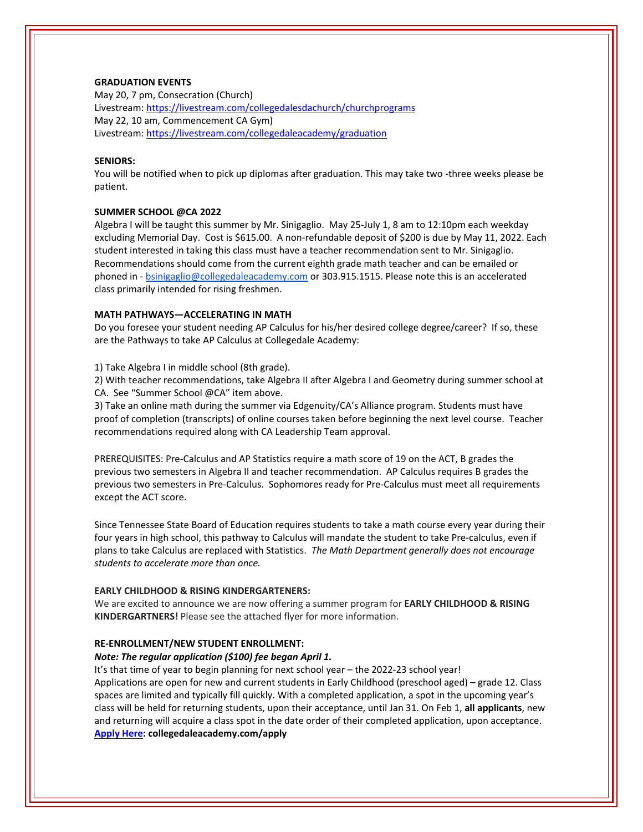# **GRADUATION EVENTS**

May 20, 7 pm, Consecration (Church) Livestream: <https://livestream.com/collegedalesdachurch/churchprograms> May 22, 10 am, Commencement CA Gym) Livestream: <https://livestream.com/collegedaleacademy/graduation>

# **SENIORS:**

You will be notified when to pick up diplomas after graduation. This may take two ‐three weeks please be patient.

## **SUMMER SCHOOL @CA 2022**

Algebra I will be taught this summer by Mr. Sinigaglio. May 25‐July 1, 8 am to 12:10pm each weekday excluding Memorial Day. Cost is \$615.00. A non‐refundable deposit of \$200 is due by May 11, 2022. Each student interested in taking this class must have a teacher recommendation sent to Mr. Sinigaglio. Recommendations should come from the current eighth grade math teacher and can be emailed or phoned in - bsinigaglio@collegedaleacademy.com or 303.915.1515. Please note this is an accelerated class primarily intended for rising freshmen.

#### **MATH PATHWAYS—ACCELERATING IN MATH**

Do you foresee your student needing AP Calculus for his/her desired college degree/career? If so, these are the Pathways to take AP Calculus at Collegedale Academy:

1) Take Algebra I in middle school (8th grade).

2) With teacher recommendations, take Algebra II after Algebra I and Geometry during summer school at CA. See "Summer School @CA" item above.

3) Take an online math during the summer via Edgenuity/CA's Alliance program. Students must have proof of completion (transcripts) of online courses taken before beginning the next level course. Teacher recommendations required along with CA Leadership Team approval.

PREREQUISITES: Pre‐Calculus and AP Statistics require a math score of 19 on the ACT, B grades the previous two semesters in Algebra II and teacher recommendation. AP Calculus requires B grades the previous two semesters in Pre‐Calculus. Sophomores ready for Pre‐Calculus must meet all requirements except the ACT score.

Since Tennessee State Board of Education requires students to take a math course every year during their four years in high school, this pathway to Calculus will mandate the student to take Pre-calculus, even if plans to take Calculus are replaced with Statistics. *The Math Department generally does not encourage students to accelerate more than once.* 

#### **EARLY CHILDHOOD & RISING KINDERGARTENERS:**

We are excited to announce we are now offering a summer program for **EARLY CHILDHOOD & RISING KINDERGARTNERS!** Please see the attached flyer for more information.

## **RE‐ENROLLMENT/NEW STUDENT ENROLLMENT:**

# *Note: The regular application (\$100) fee began April 1.*

It's that time of year to begin planning for next school year – the 2022‐23 school year! Applications are open for new and current students in Early Childhood (preschool aged) – grade 12. Class spaces are limited and typically fill quickly. With a completed application, a spot in the upcoming year's class will be held for returning students, upon their acceptance, until Jan 31. On Feb 1, **all applicants**, new and returning will acquire a class spot in the date order of their completed application, upon acceptance. **[Apply](http://collegedaleacademy.com/apply) Here: collegedaleacademy.com/apply**